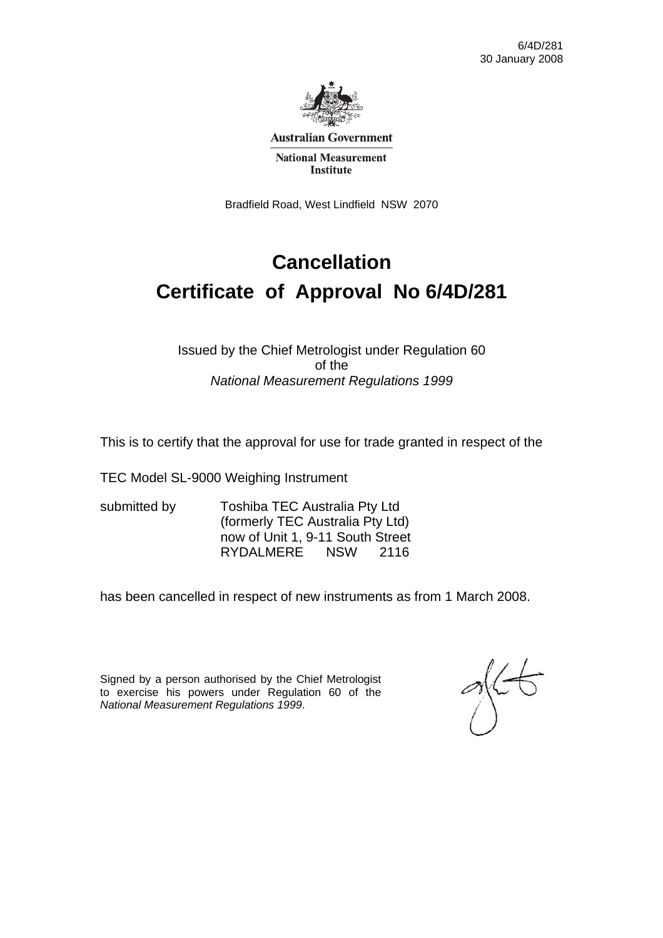

**Australian Government** 

**National Measurement Institute** 

Bradfield Road, West Lindfield NSW 2070

# **Cancellation Certificate of Approval No 6/4D/281**

#### Issued by the Chief Metrologist under Regulation 60 of the *National Measurement Regulations 1999*

This is to certify that the approval for use for trade granted in respect of the

TEC Model SL-9000 Weighing Instrument

submitted by Toshiba TEC Australia Pty Ltd (formerly TEC Australia Pty Ltd) now of Unit 1, 9-11 South Street RYDALMERE NSW 2116

has been cancelled in respect of new instruments as from 1 March 2008.

Signed by a person authorised by the Chief Metrologist to exercise his powers under Regulation 60 of the *National Measurement Regulations 1999*.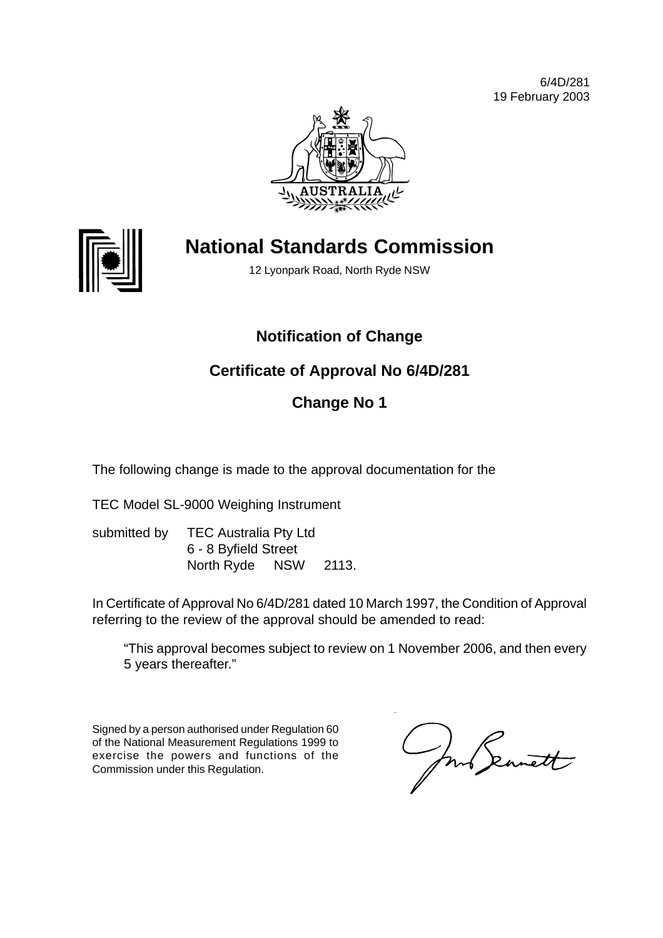6/4D/281 19 February 2003





# **National Standards Commission**

12 Lyonpark Road, North Ryde NSW

# **Notification of Change**

# **Certificate of Approval No 6/4D/281**

# **Change No 1**

The following change is made to the approval documentation for the

TEC Model SL-9000 Weighing Instrument

submitted by TEC Australia Pty Ltd 6 - 8 Byfield Street North Ryde NSW 2113.

In Certificate of Approval No 6/4D/281 dated 10 March 1997, the Condition of Approval referring to the review of the approval should be amended to read:

"This approval becomes subject to review on 1 November 2006, and then every 5 years thereafter."

Signed by a person authorised under Regulation 60 of the National Measurement Regulations 1999 to exercise the powers and functions of the Commission under this Regulation.

mb Seanett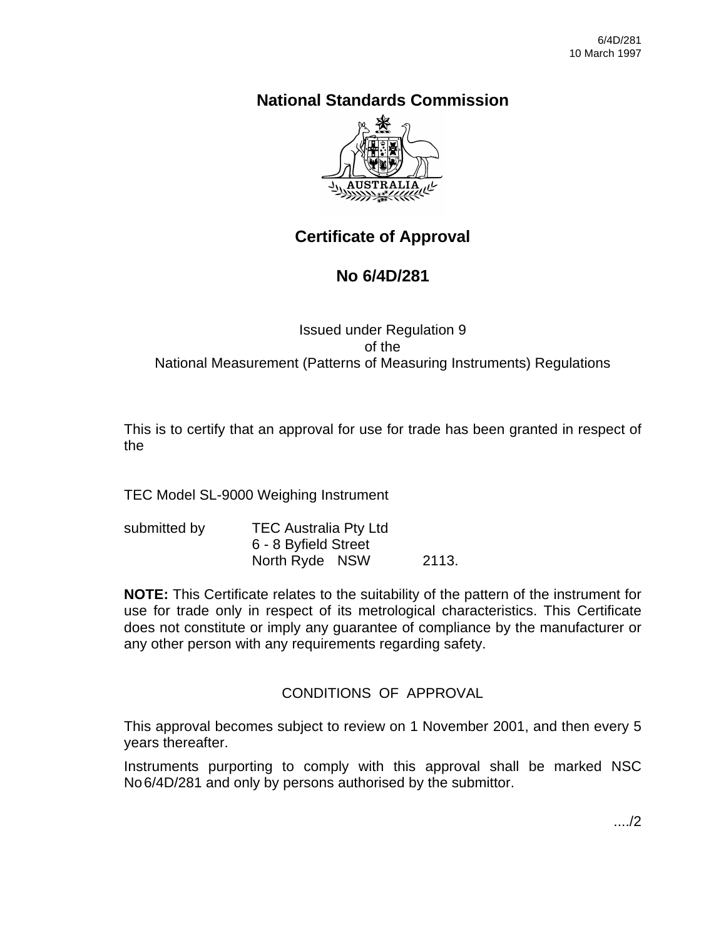# **National Standards Commission**



# **Certificate of Approval**

# **No 6/4D/281**

### Issued under Regulation 9 of the National Measurement (Patterns of Measuring Instruments) Regulations

This is to certify that an approval for use for trade has been granted in respect of the

TEC Model SL-9000 Weighing Instrument

| submitted by | <b>TEC Australia Pty Ltd</b> |       |
|--------------|------------------------------|-------|
|              | 6 - 8 Byfield Street         |       |
|              | North Ryde NSW               | 2113. |

**NOTE:** This Certificate relates to the suitability of the pattern of the instrument for use for trade only in respect of its metrological characteristics. This Certificate does not constitute or imply any guarantee of compliance by the manufacturer or any other person with any requirements regarding safety.

# CONDITIONS OF APPROVAL

This approval becomes subject to review on 1 November 2001, and then every 5 years thereafter.

Instruments purporting to comply with this approval shall be marked NSC No6/4D/281 and only by persons authorised by the submittor.

..../2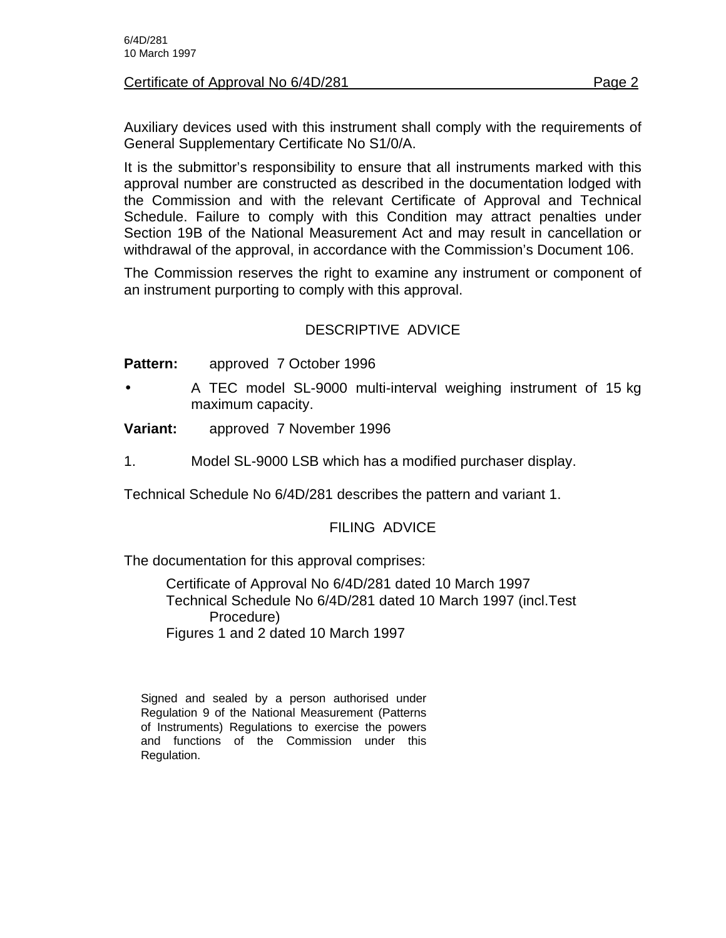#### Certificate of Approval No 6/4D/281 **Page 2** Page 2

Auxiliary devices used with this instrument shall comply with the requirements of General Supplementary Certificate No S1/0/A.

It is the submittor's responsibility to ensure that all instruments marked with this approval number are constructed as described in the documentation lodged with the Commission and with the relevant Certificate of Approval and Technical Schedule. Failure to comply with this Condition may attract penalties under Section 19B of the National Measurement Act and may result in cancellation or withdrawal of the approval, in accordance with the Commission's Document 106.

The Commission reserves the right to examine any instrument or component of an instrument purporting to comply with this approval.

### DESCRIPTIVE ADVICE

**Pattern:** approved 7 October 1996

- A TEC model SL-9000 multi-interval weighing instrument of 15 kg maximum capacity.
- **Variant:** approved 7 November 1996
- 1. Model SL-9000 LSB which has a modified purchaser display.

Technical Schedule No 6/4D/281 describes the pattern and variant 1.

#### FILING ADVICE

The documentation for this approval comprises:

Certificate of Approval No 6/4D/281 dated 10 March 1997 Technical Schedule No 6/4D/281 dated 10 March 1997 (incl.Test Procedure) Figures 1 and 2 dated 10 March 1997

Signed and sealed by a person authorised under Regulation 9 of the National Measurement (Patterns of Instruments) Regulations to exercise the powers and functions of the Commission under this Regulation.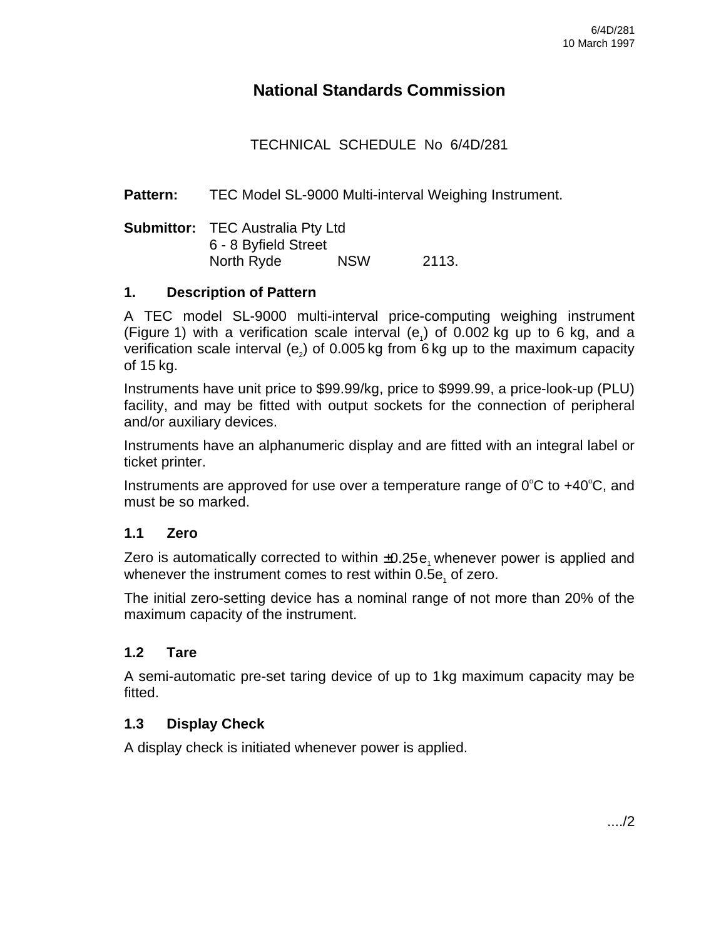# **National Standards Commission**

# TECHNICAL SCHEDULE No 6/4D/281

**Pattern:** TEC Model SL-9000 Multi-interval Weighing Instrument.

| <b>Submittor:</b> TEC Australia Pty Ltd |            |       |
|-----------------------------------------|------------|-------|
| 6 - 8 Byfield Street                    |            |       |
| North Ryde                              | <b>NSW</b> | 2113. |

#### **1. Description of Pattern**

A TEC model SL-9000 multi-interval price-computing weighing instrument (Figure 1) with a verification scale interval  $(e_i)$  of 0.002 kg up to 6 kg, and a verification scale interval (e<sub>2</sub>) of 0.005 kg from 6 kg up to the maximum capacity of 15 kg.

Instruments have unit price to \$99.99/kg, price to \$999.99, a price-look-up (PLU) facility, and may be fitted with output sockets for the connection of peripheral and/or auxiliary devices.

Instruments have an alphanumeric display and are fitted with an integral label or ticket printer.

Instruments are approved for use over a temperature range of  $0^{\circ}C$  to  $+40^{\circ}C$ , and must be so marked.

#### **1.1 Zero**

Zero is automatically corrected to within  $\pm 0.25e$ , whenever power is applied and whenever the instrument comes to rest within 0.5e $_{\textrm{\tiny{1}}}$  of zero.

The initial zero-setting device has a nominal range of not more than 20% of the maximum capacity of the instrument.

#### **1.2 Tare**

A semi-automatic pre-set taring device of up to 1kg maximum capacity may be fitted.

#### **1.3 Display Check**

A display check is initiated whenever power is applied.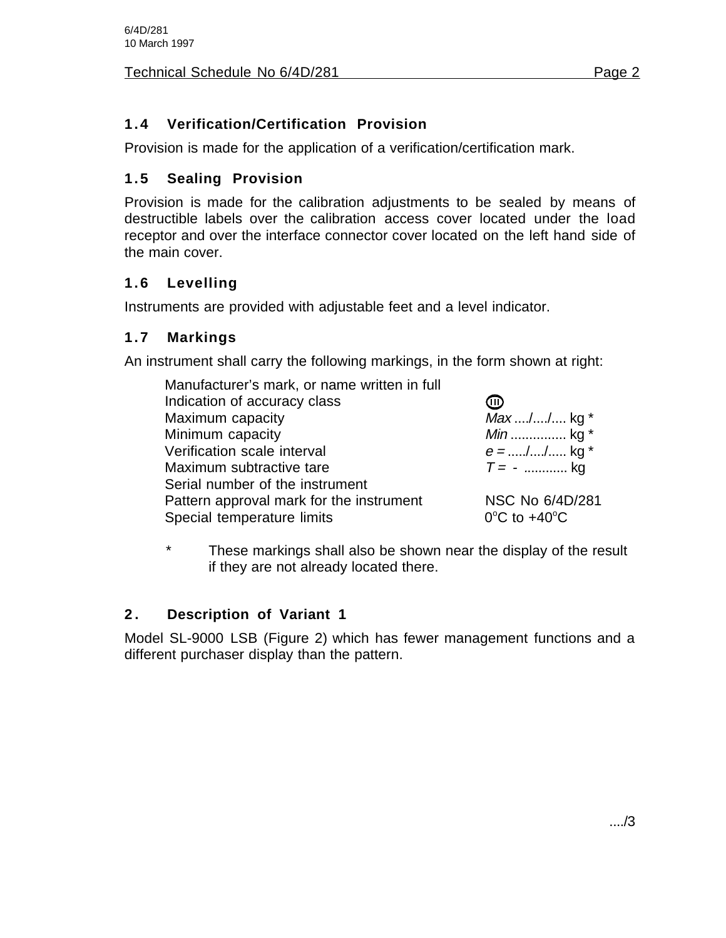# **1.4 Verification/Certification Provision**

Provision is made for the application of a verification/certification mark.

# **1.5 Sealing Provision**

Provision is made for the calibration adjustments to be sealed by means of destructible labels over the calibration access cover located under the load receptor and over the interface connector cover located on the left hand side of the main cover.

# **1.6 Levelling**

Instruments are provided with adjustable feet and a level indicator.

### **1.7 Markings**

An instrument shall carry the following markings, in the form shown at right:

| Manufacturer's mark, or name written in full |                                   |
|----------------------------------------------|-----------------------------------|
| Indication of accuracy class                 | መ                                 |
| Maximum capacity                             | Max // kg *                       |
| Minimum capacity                             | <i>Min</i> kg $*$                 |
| Verification scale interval                  | $e =$ // kg *                     |
| Maximum subtractive tare                     | $T = -$ kg                        |
| Serial number of the instrument              |                                   |
| Pattern approval mark for the instrument     | NSC No 6/4D/281                   |
| Special temperature limits                   | $0^{\circ}$ C to +40 $^{\circ}$ C |
|                                              |                                   |

\* These markings shall also be shown near the display of the result if they are not already located there.

# **2 . Description of Variant 1**

Model SL-9000 LSB (Figure 2) which has fewer management functions and a different purchaser display than the pattern.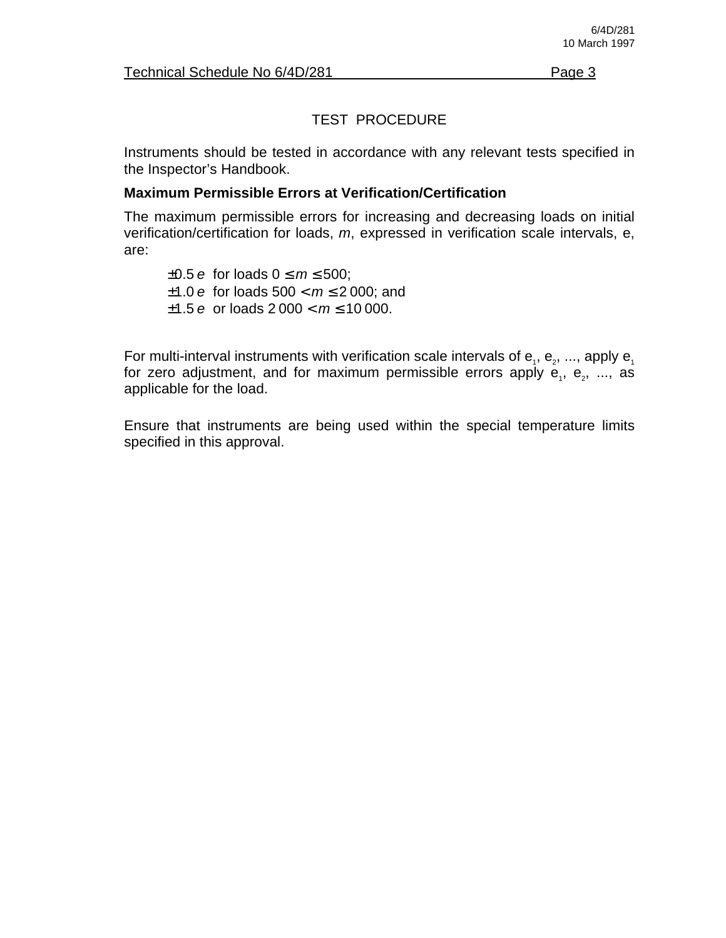# TEST PROCEDURE

Instruments should be tested in accordance with any relevant tests specified in the Inspector's Handbook.

#### **Maximum Permissible Errors at Verification/Certification**

The maximum permissible errors for increasing and decreasing loads on initial verification/certification for loads, m, expressed in verification scale intervals, e, are:

 $\pm 0.5$  e for loads  $0 \le m \le 500$ ;  $±1.0 e$  for loads  $500 < m \le 2000$ ; and  $\pm 1.5$  e or loads 2 000  $< m \le 10000$ .

For multi-interval instruments with verification scale intervals of  $e_1, e_2, ...,$  apply  $e_1$ for zero adjustment, and for maximum permissible errors apply  $e_i$ ,  $e_z$ , ..., as applicable for the load.

Ensure that instruments are being used within the special temperature limits specified in this approval.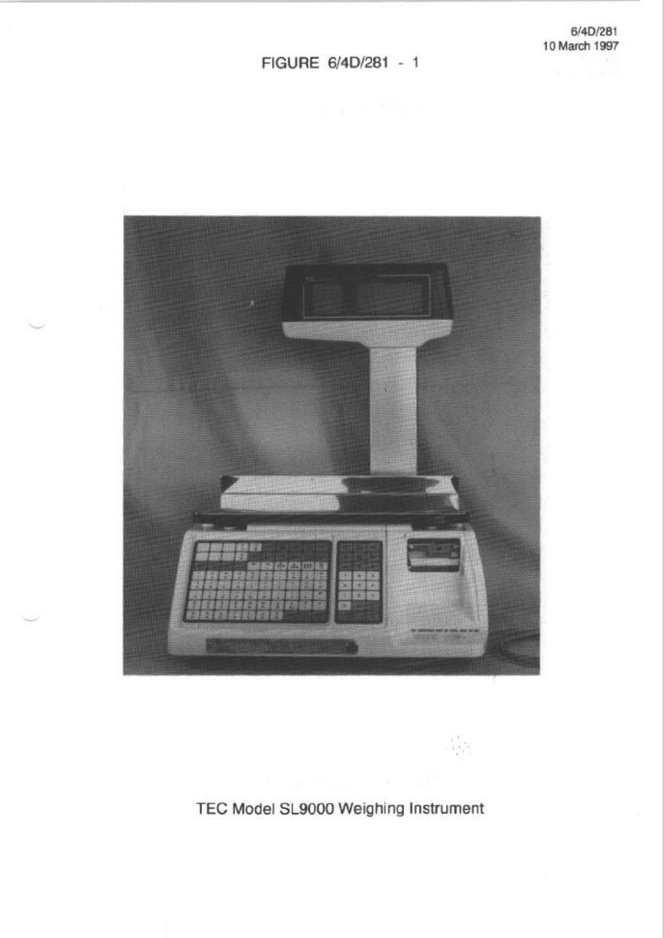#### FIGURE 6/4D/281 - 1



TEC Model SL9000 Weighing Instrument